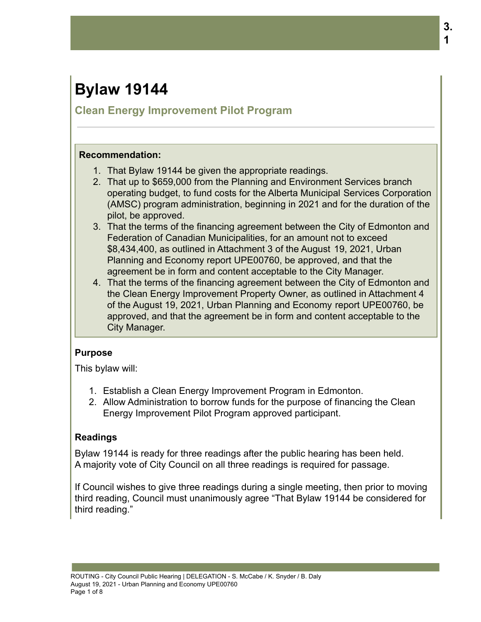# **Bylaw 19144**

# **Clean Energy Improvement Pilot Program**

#### **Recommendation:**

- 1. That Bylaw 19144 be given the appropriate readings.
- 2. That up to \$659,000 from the Planning and Environment Services branch operating budget, to fund costs for the Alberta Municipal Services Corporation (AMSC) program administration, beginning in 2021 and for the duration of the pilot, be approved.
- 3. That the terms of the financing agreement between the City of Edmonton and Federation of Canadian Municipalities, for an amount not to exceed \$8,434,400, as outlined in Attachment 3 of the August 19, 2021, Urban Planning and Economy report UPE00760, be approved, and that the agreement be in form and content acceptable to the City Manager.
- 4. That the terms of the financing agreement between the City of Edmonton and the Clean Energy Improvement Property Owner, as outlined in Attachment 4 of the August 19, 2021, Urban Planning and Economy report UPE00760, be approved, and that the agreement be in form and content acceptable to the City Manager.

## **Purpose**

This bylaw will:

- 1. Establish a Clean Energy Improvement Program in Edmonton.
- 2. Allow Administration to borrow funds for the purpose of financing the Clean Energy Improvement Pilot Program approved participant.

# **Readings**

Bylaw 19144 is ready for three readings after the public hearing has been held. A majority vote of City Council on all three readings is required for passage.

If Council wishes to give three readings during a single meeting, then prior to moving third reading, Council must unanimously agree "That Bylaw 19144 be considered for third reading."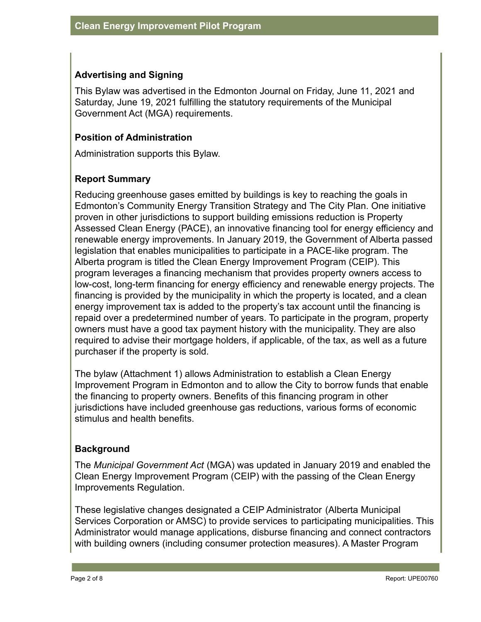## **Advertising and Signing**

This Bylaw was advertised in the Edmonton Journal on Friday, June 11, 2021 and Saturday, June 19, 2021 fulfilling the statutory requirements of the Municipal Government Act (MGA) requirements.

## **Position of Administration**

Administration supports this Bylaw.

# **Report Summary**

Reducing greenhouse gases emitted by buildings is key to reaching the goals in Edmonton's Community Energy Transition Strategy and The City Plan. One initiative proven in other jurisdictions to support building emissions reduction is Property Assessed Clean Energy (PACE), an innovative financing tool for energy efficiency and renewable energy improvements. In January 2019, the Government of Alberta passed legislation that enables municipalities to participate in a PACE-like program. The Alberta program is titled the Clean Energy Improvement Program (CEIP). This program leverages a financing mechanism that provides property owners access to low-cost, long-term financing for energy efficiency and renewable energy projects. The financing is provided by the municipality in which the property is located, and a clean energy improvement tax is added to the property's tax account until the financing is repaid over a predetermined number of years. To participate in the program, property owners must have a good tax payment history with the municipality. They are also required to advise their mortgage holders, if applicable, of the tax, as well as a future purchaser if the property is sold.

The bylaw (Attachment 1) allows Administration to establish a Clean Energy Improvement Program in Edmonton and to allow the City to borrow funds that enable the financing to property owners. Benefits of this financing program in other jurisdictions have included greenhouse gas reductions, various forms of economic stimulus and health benefits.

## **Background**

The *Municipal Government Act* (MGA) was updated in January 2019 and enabled the Clean Energy Improvement Program (CEIP) with the passing of the Clean Energy Improvements Regulation.

These legislative changes designated a CEIP Administrator (Alberta Municipal Services Corporation or AMSC) to provide services to participating municipalities. This Administrator would manage applications, disburse financing and connect contractors with building owners (including consumer protection measures). A Master Program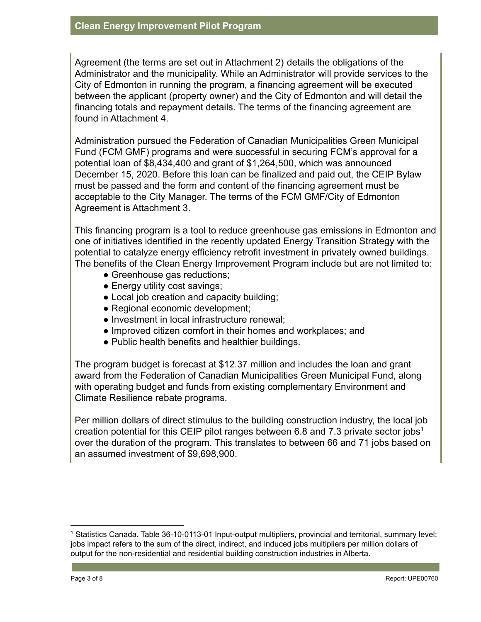Agreement (the terms are set out in Attachment 2) details the obligations of the Administrator and the municipality. While an Administrator will provide services to the City of Edmonton in running the program, a financing agreement will be executed between the applicant (property owner) and the City of Edmonton and will detail the financing totals and repayment details. The terms of the financing agreement are found in Attachment 4.

Administration pursued the Federation of Canadian Municipalities Green Municipal Fund (FCM GMF) programs and were successful in securing FCM's approval for a potential loan of \$8,434,400 and grant of \$1,264,500, which was announced December 15, 2020. Before this loan can be finalized and paid out, the CEIP Bylaw must be passed and the form and content of the financing agreement must be acceptable to the City Manager. The terms of the FCM GMF/City of Edmonton Agreement is Attachment 3.

This financing program is a tool to reduce greenhouse gas emissions in Edmonton and one of initiatives identified in the recently updated Energy Transition Strategy with the potential to catalyze energy efficiency retrofit investment in privately owned buildings. The benefits of the Clean Energy Improvement Program include but are not limited to:

- Greenhouse gas reductions;
- Energy utility cost savings;
- Local job creation and capacity building;
- Regional economic development;
- Investment in local infrastructure renewal;
- Improved citizen comfort in their homes and workplaces; and
- Public health benefits and healthier buildings.

The program budget is forecast at \$12.37 million and includes the loan and grant award from the Federation of Canadian Municipalities Green Municipal Fund, along with operating budget and funds from existing complementary Environment and Climate Resilience rebate programs.

Per million dollars of direct stimulus to the building construction industry, the local job creation potential for this CEIP pilot ranges between 6.8 and 7.3 private sector jobs<sup>1</sup> over the duration of the program. This translates to between 66 and 71 jobs based on an assumed investment of \$9,698,900.

<sup>1</sup> Statistics Canada. Table 36-10-0113-01 Input-output multipliers, provincial and territorial, summary level; jobs impact refers to the sum of the direct, indirect, and induced jobs multipliers per million dollars of output for the non-residential and residential building construction industries in Alberta.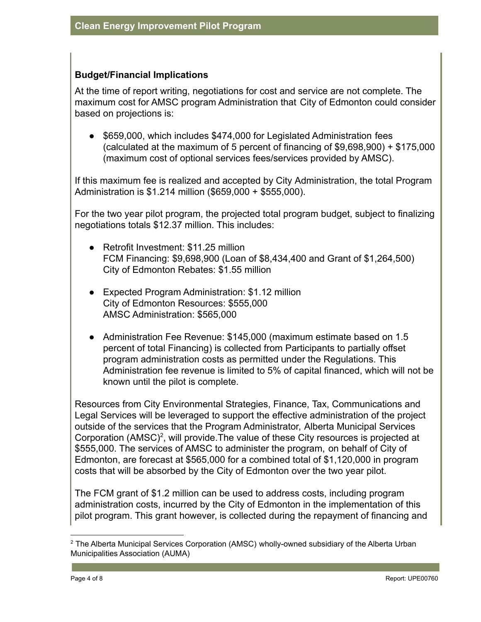#### **Budget/Financial Implications**

At the time of report writing, negotiations for cost and service are not complete. The maximum cost for AMSC program Administration that City of Edmonton could consider based on projections is:

● \$659,000, which includes \$474,000 for Legislated Administration fees (calculated at the maximum of 5 percent of financing of \$9,698,900) + \$175,000 (maximum cost of optional services fees/services provided by AMSC).

If this maximum fee is realized and accepted by City Administration, the total Program Administration is \$1.214 million (\$659,000 + \$555,000).

For the two year pilot program, the projected total program budget, subject to finalizing negotiations totals \$12.37 million. This includes:

- Retrofit Investment: \$11.25 million FCM Financing: \$9,698,900 (Loan of \$8,434,400 and Grant of \$1,264,500) City of Edmonton Rebates: \$1.55 million
- Expected Program Administration: \$1.12 million City of Edmonton Resources: \$555,000 AMSC Administration: \$565,000
- Administration Fee Revenue: \$145,000 (maximum estimate based on 1.5 percent of total Financing) is collected from Participants to partially offset program administration costs as permitted under the Regulations. This Administration fee revenue is limited to 5% of capital financed, which will not be known until the pilot is complete.

Resources from City Environmental Strategies, Finance, Tax, Communications and Legal Services will be leveraged to support the effective administration of the project outside of the services that the Program Administrator, Alberta Municipal Services Corporation  $(AMSC)^2$ , will provide. The value of these City resources is projected at \$555,000. The services of AMSC to administer the program, on behalf of City of Edmonton, are forecast at \$565,000 for a combined total of \$1,120,000 in program costs that will be absorbed by the City of Edmonton over the two year pilot.

The FCM grant of \$1.2 million can be used to address costs, including program administration costs, incurred by the City of Edmonton in the implementation of this pilot program. This grant however, is collected during the repayment of financing and

 $2$  The Alberta Municipal Services Corporation (AMSC) wholly-owned subsidiary of the Alberta Urban Municipalities Association (AUMA)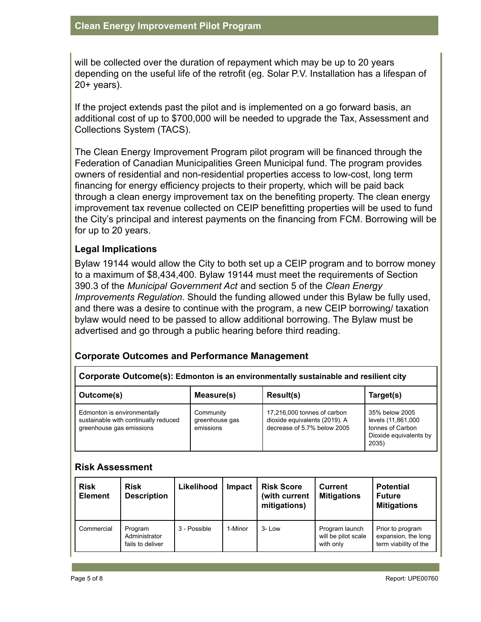will be collected over the duration of repayment which may be up to 20 years depending on the useful life of the retrofit (eg. Solar P.V. Installation has a lifespan of 20+ years).

If the project extends past the pilot and is implemented on a go forward basis, an additional cost of up to \$700,000 will be needed to upgrade the Tax, Assessment and Collections System (TACS).

The Clean Energy Improvement Program pilot program will be financed through the Federation of Canadian Municipalities Green Municipal fund. The program provides owners of residential and non-residential properties access to low-cost, long term financing for energy efficiency projects to their property, which will be paid back through a clean energy improvement tax on the benefiting property. The clean energy improvement tax revenue collected on CEIP benefitting properties will be used to fund the City's principal and interest payments on the financing from FCM. Borrowing will be for up to 20 years.

# **Legal Implications**

Bylaw 19144 would allow the City to both set up a CEIP program and to borrow money to a maximum of \$8,434,400. Bylaw 19144 must meet the requirements of Section 390.3 of the *Municipal Government Act* and section 5 of the *Clean Energy Improvements Regulation*. Should the funding allowed under this Bylaw be fully used, and there was a desire to continue with the program, a new CEIP borrowing/ taxation bylaw would need to be passed to allow additional borrowing. The Bylaw must be advertised and go through a public hearing before third reading.

## **Corporate Outcomes and Performance Management**

| Outcome(s)                                                                                      | Measure(s)                               | Result(s) | Target(s)                                                                                   |
|-------------------------------------------------------------------------------------------------|------------------------------------------|-----------|---------------------------------------------------------------------------------------------|
| Edmonton is environmentally<br>sustainable with continually reduced<br>greenhouse gas emissions | Community<br>greenhouse gas<br>emissions |           | 35% below 2005<br>levels (11,861,000<br>tonnes of Carbon<br>Dioxide equivalents by<br>2035) |

#### **Risk Assessment**

| <b>Risk</b><br><b>Element</b> | <b>Risk</b><br><b>Description</b>            | Likelihood   | <b>Impact</b> | <b>Risk Score</b><br>(with current<br>mitigations) | Current<br><b>Mitigations</b>                      | <b>Potential</b><br><b>Future</b><br><b>Mitigations</b>          |
|-------------------------------|----------------------------------------------|--------------|---------------|----------------------------------------------------|----------------------------------------------------|------------------------------------------------------------------|
| Commercial                    | Program<br>Administrator<br>fails to deliver | 3 - Possible | 1-Minor       | $3 - Low$                                          | Program launch<br>will be pilot scale<br>with only | Prior to program<br>expansion, the long<br>term viability of the |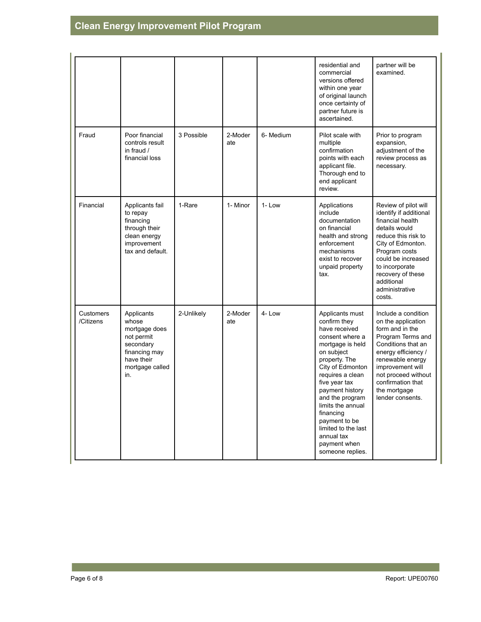|                        |                                                                                                                          |            |                |           | residential and<br>commercial<br>versions offered<br>within one year<br>of original launch<br>once certainty of<br>partner future is<br>ascertained.                                                                                                                                                                                              | partner will be<br>examined.                                                                                                                                                                                                                            |
|------------------------|--------------------------------------------------------------------------------------------------------------------------|------------|----------------|-----------|---------------------------------------------------------------------------------------------------------------------------------------------------------------------------------------------------------------------------------------------------------------------------------------------------------------------------------------------------|---------------------------------------------------------------------------------------------------------------------------------------------------------------------------------------------------------------------------------------------------------|
| Fraud                  | Poor financial<br>controls result<br>in fraud /<br>financial loss                                                        | 3 Possible | 2-Moder<br>ate | 6- Medium | Pilot scale with<br>multiple<br>confirmation<br>points with each<br>applicant file.<br>Thorough end to<br>end applicant<br>review.                                                                                                                                                                                                                | Prior to program<br>expansion,<br>adjustment of the<br>review process as<br>necessary.                                                                                                                                                                  |
| Financial              | Applicants fail<br>to repay<br>financing<br>through their<br>clean energy<br>improvement<br>tax and default.             | 1-Rare     | 1- Minor       | 1-Low     | Applications<br>include<br>documentation<br>on financial<br>health and strong<br>enforcement<br>mechanisms<br>exist to recover<br>unpaid property<br>tax.                                                                                                                                                                                         | Review of pilot will<br>identify if additional<br>financial health<br>details would<br>reduce this risk to<br>City of Edmonton.<br>Program costs<br>could be increased<br>to incorporate<br>recovery of these<br>additional<br>administrative<br>costs. |
| Customers<br>/Citizens | Applicants<br>whose<br>mortgage does<br>not permit<br>secondary<br>financing may<br>have their<br>mortgage called<br>in. | 2-Unlikely | 2-Moder<br>ate | 4-Low     | Applicants must<br>confirm they<br>have received<br>consent where a<br>mortgage is held<br>on subject<br>property. The<br>City of Edmonton<br>requires a clean<br>five year tax<br>payment history<br>and the program<br>limits the annual<br>financing<br>payment to be<br>limited to the last<br>annual tax<br>payment when<br>someone replies. | Include a condition<br>on the application<br>form and in the<br>Program Terms and<br>Conditions that an<br>energy efficiency /<br>renewable energy<br>improvement will<br>not proceed without<br>confirmation that<br>the mortgage<br>lender consents.  |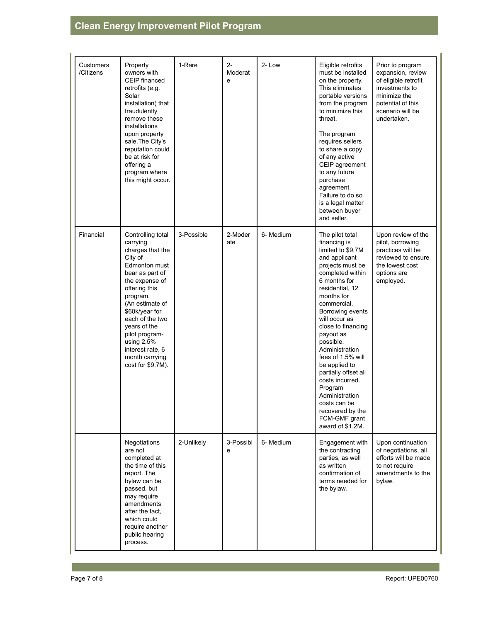# **Clean Energy Improvement Pilot Program**

| <b>Customers</b><br>/Citizens | Property<br>owners with<br>CEIP financed<br>retrofits (e.g.<br>Solar<br>installation) that<br>fraudulently<br>remove these<br>installations<br>upon property<br>sale. The City's<br>reputation could<br>be at risk for<br>offering a<br>program where<br>this might occur.                                         | 1-Rare     | $2 -$<br>Moderat<br>e | 2-Low     | Eligible retrofits<br>must be installed<br>on the property.<br>This eliminates<br>portable versions<br>from the program<br>to minimize this<br>threat.<br>The program<br>requires sellers<br>to share a copy<br>of any active<br>CEIP agreement<br>to any future<br>purchase<br>agreement.<br>Failure to do so<br>is a legal matter<br>between buyer<br>and seller.                                                                                                         | Prior to program<br>expansion, review<br>of eligible retrofit<br>investments to<br>minimize the<br>potential of this<br>scenario will be<br>undertaken. |
|-------------------------------|--------------------------------------------------------------------------------------------------------------------------------------------------------------------------------------------------------------------------------------------------------------------------------------------------------------------|------------|-----------------------|-----------|-----------------------------------------------------------------------------------------------------------------------------------------------------------------------------------------------------------------------------------------------------------------------------------------------------------------------------------------------------------------------------------------------------------------------------------------------------------------------------|---------------------------------------------------------------------------------------------------------------------------------------------------------|
| Financial                     | Controlling total<br>carrying<br>charges that the<br>City of<br>Edmonton must<br>bear as part of<br>the expense of<br>offering this<br>program.<br>(An estimate of<br>\$60k/year for<br>each of the two<br>years of the<br>pilot program-<br>using 2.5%<br>interest rate, 6<br>month carrying<br>cost for \$9.7M). | 3-Possible | 2-Moder<br>ate        | 6- Medium | The pilot total<br>financing is<br>limited to \$9.7M<br>and applicant<br>projects must be<br>completed within<br>6 months for<br>residential, 12<br>months for<br>commercial.<br>Borrowing events<br>will occur as<br>close to financing<br>payout as<br>possible.<br>Administration<br>fees of 1.5% will<br>be applied to<br>partially offset all<br>costs incurred.<br>Program<br>Administration<br>costs can be<br>recovered by the<br>FCM-GMF grant<br>award of \$1.2M. | Upon review of the<br>pilot, borrowing<br>practices will be<br>reviewed to ensure<br>the lowest cost<br>options are<br>employed.                        |
|                               | Negotiations<br>are not<br>completed at<br>the time of this<br>report. The<br>bylaw can be<br>passed, but<br>may require<br>amendments<br>after the fact,<br>which could<br>require another<br>public hearing<br>process.                                                                                          | 2-Unlikely | 3-Possibl<br>e        | 6- Medium | Engagement with<br>the contracting<br>parties, as well<br>as written<br>confirmation of<br>terms needed for<br>the bylaw.                                                                                                                                                                                                                                                                                                                                                   | Upon continuation<br>of negotiations, all<br>efforts will be made<br>to not require<br>amendments to the<br>bylaw.                                      |